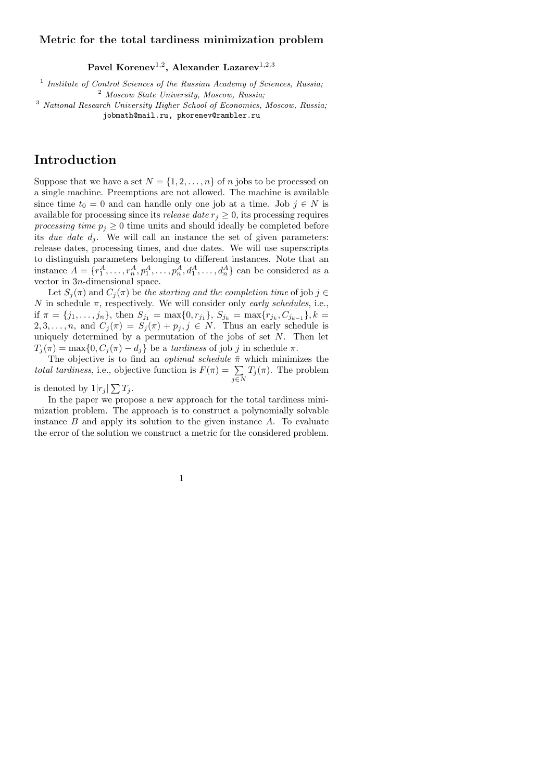### Metric for the total tardiness minimization problem

Pavel Korenev $^{1,2}$ , Alexander Lazarev $^{1,2,3}$ 

<sup>1</sup> Institute of Control Sciences of the Russian Academy of Sciences, Russia; <sup>2</sup> Moscow State University, Moscow, Russia;

<sup>3</sup> National Research University Higher School of Economics, Moscow, Russia; jobmath@mail.ru, pkorenev@rambler.ru

# Introduction

Suppose that we have a set  $N = \{1, 2, ..., n\}$  of n jobs to be processed on a single machine. Preemptions are not allowed. The machine is available since time  $t_0 = 0$  and can handle only one job at a time. Job  $j \in N$  is available for processing since its *release date*  $r_i \geq 0$ , its processing requires processing time  $p_j \geq 0$  time units and should ideally be completed before its due date  $d_i$ . We will call an instance the set of given parameters: release dates, processing times, and due dates. We will use superscripts to distinguish parameters belonging to different instances. Note that an instance  $A = \{r_1^A, \ldots, r_n^A, p_1^A, \ldots, p_n^A, d_1^A, \ldots, d_n^A\}$  can be considered as a vector in 3n-dimensional space.

Let  $S_i(\pi)$  and  $C_i(\pi)$  be the starting and the completion time of job  $j \in$ N in schedule  $\pi$ , respectively. We will consider only *early schedules*, i.e., if  $\pi = \{j_1, \ldots, j_n\}$ , then  $S_{j_1} = \max\{0, r_{j_1}\}, S_{j_k} = \max\{r_{j_k}, C_{j_{k-1}}\}, k =$  $2, 3, \ldots, n$ , and  $C_j(\pi) = S_j(\pi) + p_j, j \in N$ . Thus an early schedule is uniquely determined by a permutation of the jobs of set  $N$ . Then let  $T_j(\pi) = \max\{0, C_j(\pi) - d_j\}$  be a *tardiness* of job j in schedule  $\pi$ .

The objective is to find an *optimal schedule*  $\bar{\pi}$  which minimizes the total tardiness, i.e., objective function is  $F(\pi) = \sum_{j \in N} T_j(\pi)$ . The problem

is denoted by  $1|r_j| \sum T_j$ .

In the paper we propose a new approach for the total tardiness minimization problem. The approach is to construct a polynomially solvable instance  $B$  and apply its solution to the given instance  $A$ . To evaluate the error of the solution we construct a metric for the considered problem.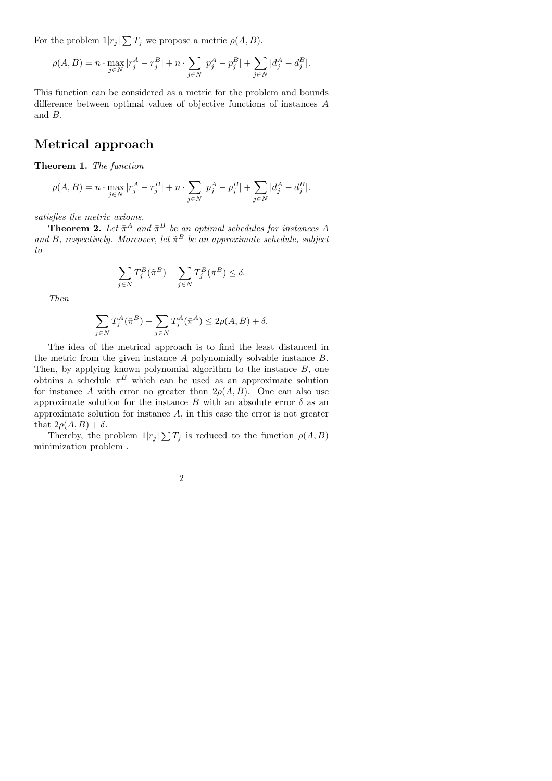For the problem  $1|r_j| \sum T_j$  we propose a metric  $\rho(A, B)$ .

$$
\rho(A, B) = n \cdot \max_{j \in N} |r_j^A - r_j^B| + n \cdot \sum_{j \in N} |p_j^A - p_j^B| + \sum_{j \in N} |d_j^A - d_j^B|.
$$

This function can be considered as a metric for the problem and bounds difference between optimal values of objective functions of instances A and B.

# Metrical approach

Theorem 1. The function

$$
\rho(A, B) = n \cdot \max_{j \in N} |r_j^A - r_j^B| + n \cdot \sum_{j \in N} |p_j^A - p_j^B| + \sum_{j \in N} |d_j^A - d_j^B|.
$$

satisfies the metric axioms.

**Theorem 2.** Let  $\bar{\pi}^A$  and  $\bar{\pi}^B$  be an optimal schedules for instances A and B, respectively. Moreover, let  $\tilde{\pi}^B$  be an approximate schedule, subject to

$$
\sum_{j\in N} T_j^B(\tilde{\pi}^B) - \sum_{j\in N} T_j^B(\bar{\pi}^B) \le \delta.
$$

Then

$$
\sum_{j \in N} T_j^A(\tilde{\pi}^B) - \sum_{j \in N} T_j^A(\bar{\pi}^A) \le 2\rho(A, B) + \delta.
$$

The idea of the metrical approach is to find the least distanced in the metric from the given instance A polynomially solvable instance B. Then, by applying known polynomial algorithm to the instance B, one obtains a schedule  $\pi^B$  which can be used as an approximate solution for instance A with error no greater than  $2\rho(A, B)$ . One can also use approximate solution for the instance B with an absolute error  $\delta$  as an approximate solution for instance A, in this case the error is not greater that  $2\rho(A, B) + \delta$ .

Thereby, the problem  $1|r_j| \sum T_j$  is reduced to the function  $\rho(A, B)$ minimization problem .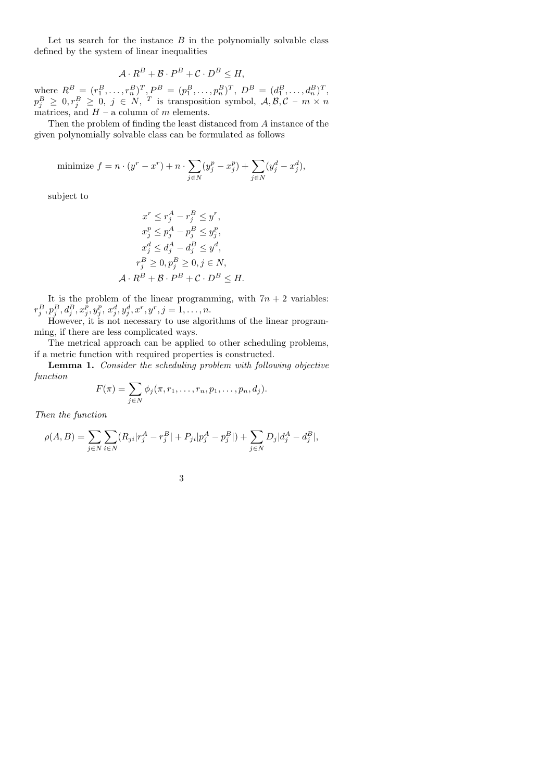Let us search for the instance  $B$  in the polynomially solvable class defined by the system of linear inequalities

$$
\mathcal{A} \cdot R^B + \mathcal{B} \cdot P^B + \mathcal{C} \cdot D^B \le H,
$$

where  $R^B = (r_1^B, \ldots, r_n^B)^T, P^B = (p_1^B, \ldots, p_n^B)^T, D^B = (d_1^B, \ldots, d_n^B)^T,$  $p_j^B \geq 0, r_j^B \geq 0, j \in N, T$  is transposition symbol,  $\mathcal{A}, \mathcal{B}, \mathcal{C} - m \times n$ matrices, and  $H - a$  column of m elements.

Then the problem of finding the least distanced from A instance of the given polynomially solvable class can be formulated as follows

minimize 
$$
f = n \cdot (y^r - x^r) + n \cdot \sum_{j \in N} (y_j^p - x_j^p) + \sum_{j \in N} (y_j^d - x_j^d),
$$

subject to

$$
x^r \le r_j^A - r_j^B \le y^r,
$$
  
\n
$$
x_j^p \le p_j^A - p_j^B \le y_j^p,
$$
  
\n
$$
x_j^d \le d_j^A - d_j^B \le y^d,
$$
  
\n
$$
r_j^B \ge 0, p_j^B \ge 0, j \in N,
$$
  
\n
$$
\mathcal{A} \cdot R^B + \mathcal{B} \cdot P^B + \mathcal{C} \cdot D^B \le H.
$$

It is the problem of the linear programming, with  $7n + 2$  variables:  $r^B_j, p^B_j, d^B_j, x^{\bar p}_j, y^p_j, x^d_j, y^d_j, x^r, y^r, j=1,\ldots,n.$ 

However, it is not necessary to use algorithms of the linear programming, if there are less complicated ways.

The metrical approach can be applied to other scheduling problems, if a metric function with required properties is constructed.

Lemma 1. Consider the scheduling problem with following objective function

$$
F(\pi) = \sum_{j \in N} \phi_j(\pi, r_1, \dots, r_n, p_1, \dots, p_n, d_j).
$$

Then the function

$$
\rho(A,B) = \sum_{j \in N} \sum_{i \in N} (R_{ji}|r_j^A - r_j^B| + P_{ji}|p_j^A - p_j^B|) + \sum_{j \in N} D_j|d_j^A - d_j^B|,
$$

|  | ٠ |         |
|--|---|---------|
|  | × | ç       |
|  |   |         |
|  |   | I<br>۰. |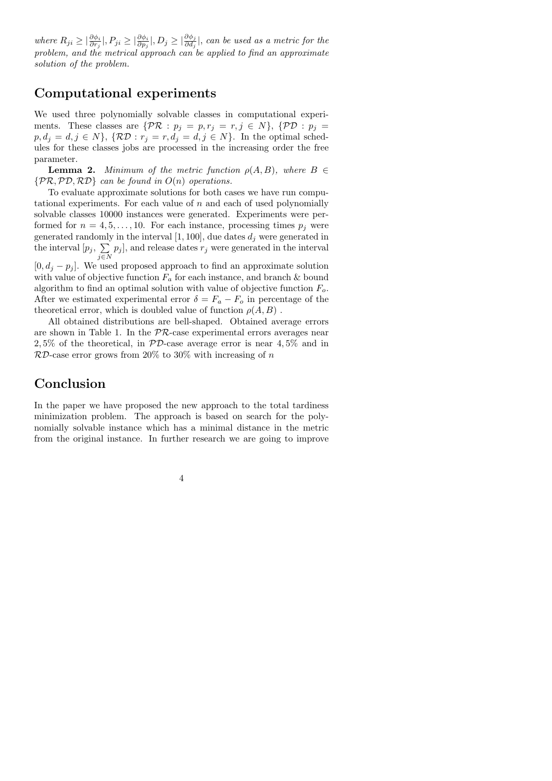where  $R_{ji} \geq |\frac{\partial \phi_i}{\partial r_j}|, P_{ji} \geq |\frac{\partial \phi_j}{\partial p_j}|, D_j \geq |\frac{\partial \phi_j}{\partial d_j}|$ , can be used as a metric for the problem, and the metrical approach can be applied to find an approximate solution of the problem.

## Computational experiments

We used three polynomially solvable classes in computational experiments. These classes are  $\{\mathcal{PR}: p_j = p, r_j = r, j \in N\}$ ,  $\{\mathcal{PD}: p_j = p_j\}$  $p, d_j = d, j \in N$ ,  $\{ \mathcal{RD} : r_j = r, d_j = d, j \in N \}$ . In the optimal schedules for these classes jobs are processed in the increasing order the free parameter.

**Lemma 2.** Minimum of the metric function  $\rho(A, B)$ , where  $B \in$  $\{PR, PD, RD\}$  can be found in  $O(n)$  operations.

To evaluate approximate solutions for both cases we have run computational experiments. For each value of  $n$  and each of used polynomially solvable classes 10000 instances were generated. Experiments were performed for  $n = 4, 5, \ldots, 10$ . For each instance, processing times  $p_i$  were generated randomly in the interval  $[1, 100]$ , due dates  $d_j$  were generated in the interval  $[p_j, \sum_{j \in N} p_j]$ , and release dates  $r_j$  were generated in the interval

 $[0, d_j - p_j]$ . We used proposed approach to find an approximate solution with value of objective function  $F_a$  for each instance, and branch & bound algorithm to find an optimal solution with value of objective function  $F<sub>o</sub>$ . After we estimated experimental error  $\delta = F_a - F_o$  in percentage of the theoretical error, which is doubled value of function  $\rho(A, B)$ .

All obtained distributions are bell-shaped. Obtained average errors are shown in Table 1. In the  $PR$ -case experimental errors averages near 2, 5% of the theoretical, in PD-case average error is near 4, 5% and in  $RD$ -case error grows from 20% to 30% with increasing of n

# Conclusion

In the paper we have proposed the new approach to the total tardiness minimization problem. The approach is based on search for the polynomially solvable instance which has a minimal distance in the metric from the original instance. In further research we are going to improve